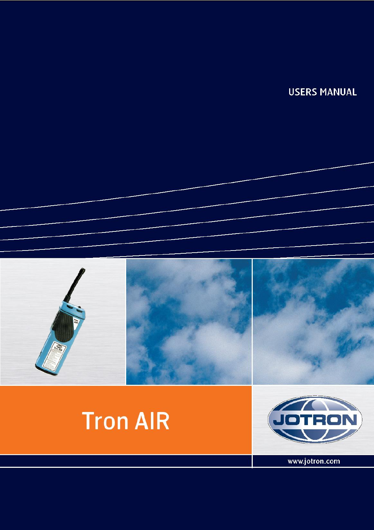**USERS MANUAL** 





www.jotron.com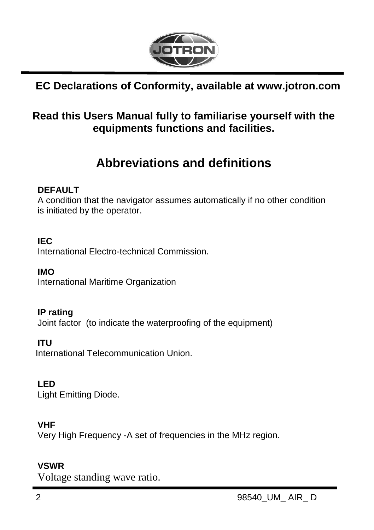

### **EC Declarations of Conformity, available at www.jotron.com**

### **Read this Users Manual fully to familiarise yourself with the equipments functions and facilities.**

# **Abbreviations and definitions**

#### **DEFAULT**

A condition that the navigator assumes automatically if no other condition is initiated by the operator.

#### **IEC**

International Electro-technical Commission.

**IMO** International Maritime Organization

#### **IP rating**

Joint factor (to indicate the waterproofing of the equipment)

#### **ITU**

International Telecommunication Union.

#### **LED**

Light Emitting Diode.

### **VHF**

Very High Frequency -A set of frequencies in the MHz region.

#### **VSWR**

Voltage standing wave ratio.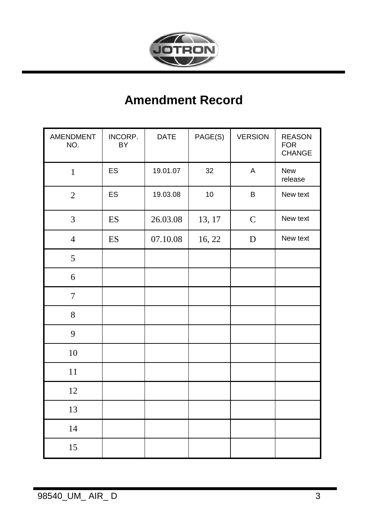

# **Amendment Record**

| AMENDMENT<br>NO. | INCORP.<br>BY | DATE     | PAGE(S)<br><b>VERSION</b> |             | <b>REASON</b><br><b>FOR</b><br>CHANGE |
|------------------|---------------|----------|---------------------------|-------------|---------------------------------------|
| $\mathbf{1}$     | ES            | 19.01.07 | 32                        | $\sf A$     | New<br>release                        |
| $\sqrt{2}$       | ES            | 19.03.08 | 10                        | B           | New text                              |
| $\mathfrak{Z}$   | ES            | 26.03.08 | 13, 17                    | $\mathsf C$ | New text                              |
| $\overline{4}$   | ES            | 07.10.08 | 16, 22                    | $\mathbf D$ | New text                              |
| $\mathfrak s$    |               |          |                           |             |                                       |
| 6                |               |          |                           |             |                                       |
| $\boldsymbol{7}$ |               |          |                           |             |                                       |
| 8                |               |          |                           |             |                                       |
| 9                |               |          |                           |             |                                       |
| $10\,$           |               |          |                           |             |                                       |
| $11\,$           |               |          |                           |             |                                       |
| 12               |               |          |                           |             |                                       |
| 13               |               |          |                           |             |                                       |
| 14               |               |          |                           |             |                                       |
| 15               |               |          |                           |             |                                       |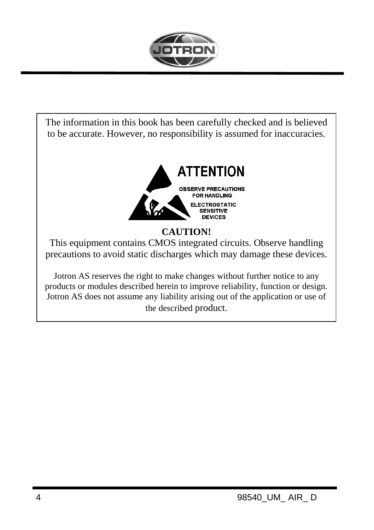

The information in this book has been carefully checked and is believed to be accurate. However, no responsibility is assumed for inaccuracies.



### **CAUTION!**

This equipment contains CMOS integrated circuits. Observe handling precautions to avoid static discharges which may damage these devices.

Jotron AS reserves the right to make changes without further notice to any products or modules described herein to improve reliability, function or design. Jotron AS does not assume any liability arising out of the application or use of the described product.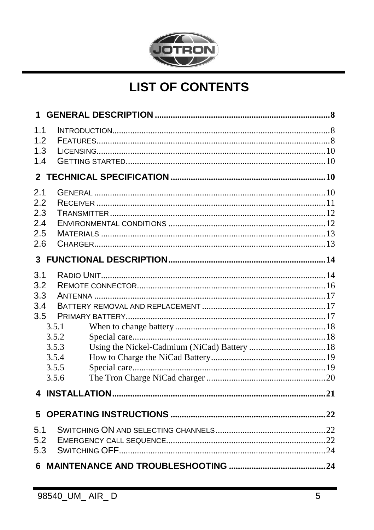

# **LIST OF CONTENTS**

| $\mathbf 1$ |       |  |
|-------------|-------|--|
| 1.1         |       |  |
| 1.2         |       |  |
| 1.3         |       |  |
| 1.4         |       |  |
|             |       |  |
| 2.1         |       |  |
| 2.2         |       |  |
| 2.3         |       |  |
| 2.4         |       |  |
| 2.5         |       |  |
| 2.6         |       |  |
|             |       |  |
| 3.1         |       |  |
| 3.2         |       |  |
| 3.3         |       |  |
| 3.4         |       |  |
| 3.5         |       |  |
|             | 3.5.1 |  |
|             | 3.5.2 |  |
|             | 3.5.3 |  |
|             | 3.5.4 |  |
|             | 3.5.5 |  |
|             | 3.5.6 |  |
|             |       |  |
| 5           |       |  |
|             |       |  |
| 5.1         |       |  |
| 5.2         |       |  |
| 5.3         |       |  |
|             |       |  |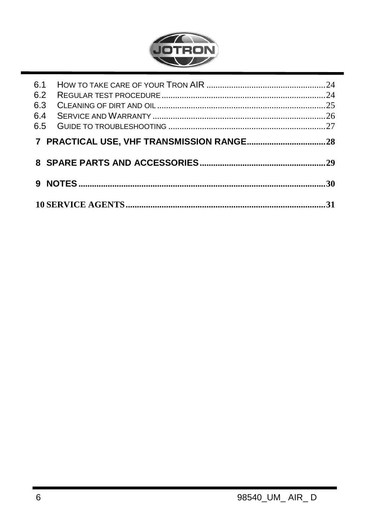

| 6.2<br>6.3<br>6.4 |  |
|-------------------|--|
|                   |  |
|                   |  |
|                   |  |
|                   |  |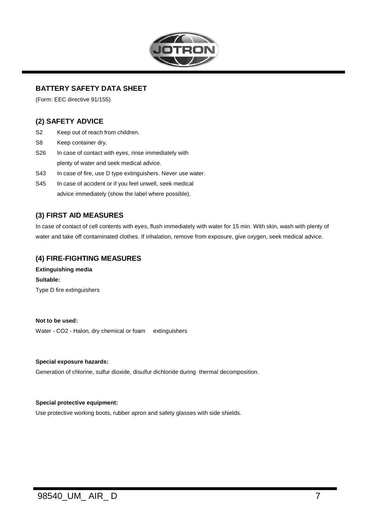

#### **BATTERY SAFETY DATA SHEET**

(Form: EEC directive 91/155)

#### **(2) SAFETY ADVICE**

- S2 Keep out of reach from children.
- S8 Keep container dry.
- S26 In case of contact with eyes, rinse immediately with
- plenty of water and seek medical advice.
- S43 In case of fire, use D type extinguishers. Never use water.
- S45 In case of accident or if you feel unwell, seek medical advice immediately (show the label where possible).

#### **(3) FIRST AID MEASURES**

In case of contact of cell contents with eyes, flush immediately with water for 15 min. With skin, wash with plenty of water and take off contaminated clothes. If inhalation, remove from exposure, give oxygen, seek medical advice.

#### **(4) FIRE-FIGHTING MEASURES**

**Extinguishing media Suitable:** Type D fire extinguishers

#### **Not to be used:**

Water - CO2 - Halon, dry chemical or foam extinguishers

#### **Special exposure hazards:**

Generation of chlorine, sulfur dioxide, disulfur dichloride during thermal decomposition.

#### **Special protective equipment:**

Use protective working boots, rubber apron and safety glasses with side shields.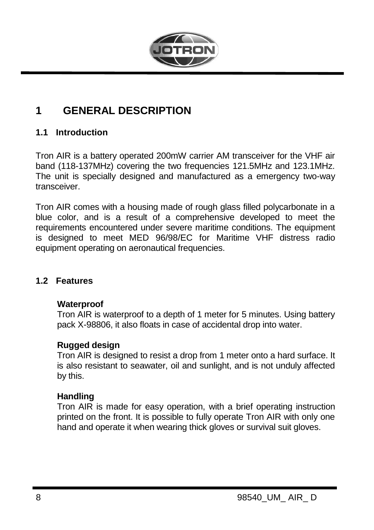

### <span id="page-7-0"></span>**1 GENERAL DESCRIPTION**

#### <span id="page-7-1"></span>**1.1 Introduction**

Tron AIR is a battery operated 200mW carrier AM transceiver for the VHF air band (118-137MHz) covering the two frequencies 121.5MHz and 123.1MHz. The unit is specially designed and manufactured as a emergency two-way transceiver.

Tron AIR comes with a housing made of rough glass filled polycarbonate in a blue color, and is a result of a comprehensive developed to meet the requirements encountered under severe maritime conditions. The equipment is designed to meet MED 96/98/EC for Maritime VHF distress radio equipment operating on aeronautical frequencies.

#### <span id="page-7-2"></span>**1.2 Features**

#### **Waterproof**

Tron AIR is waterproof to a depth of 1 meter for 5 minutes. Using battery pack X-98806, it also floats in case of accidental drop into water.

#### **Rugged design**

Tron AIR is designed to resist a drop from 1 meter onto a hard surface. It is also resistant to seawater, oil and sunlight, and is not unduly affected by this.

#### **Handling**

Tron AIR is made for easy operation, with a brief operating instruction printed on the front. It is possible to fully operate Tron AIR with only one hand and operate it when wearing thick gloves or survival suit gloves.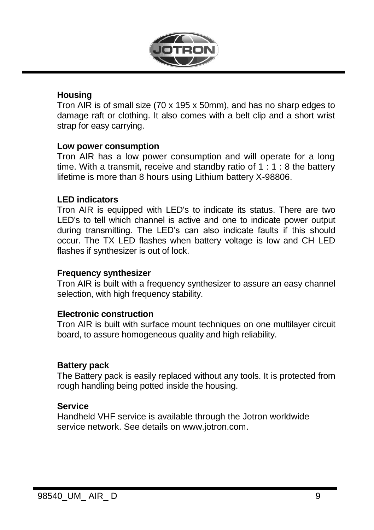

#### **Housing**

Tron AIR is of small size (70 x 195 x 50mm), and has no sharp edges to damage raft or clothing. It also comes with a belt clip and a short wrist strap for easy carrying.

#### **Low power consumption**

Tron AIR has a low power consumption and will operate for a long time. With a transmit, receive and standby ratio of 1 : 1 : 8 the battery lifetime is more than 8 hours using Lithium battery X-98806.

#### **LED indicators**

Tron AIR is equipped with LED's to indicate its status. There are two LED's to tell which channel is active and one to indicate power output during transmitting. The LED's can also indicate faults if this should occur. The TX LED flashes when battery voltage is low and CH LED flashes if synthesizer is out of lock.

#### **Frequency synthesizer**

Tron AIR is built with a frequency synthesizer to assure an easy channel selection, with high frequency stability.

#### **Electronic construction**

Tron AIR is built with surface mount techniques on one multilayer circuit board, to assure homogeneous quality and high reliability.

#### **Battery pack**

The Battery pack is easily replaced without any tools. It is protected from rough handling being potted inside the housing.

#### **Service**

Handheld VHF service is available through the Jotron worldwide service network. See details on www.jotron.com.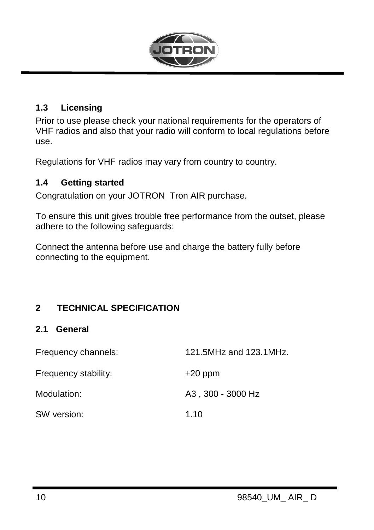

#### <span id="page-9-0"></span>**1.3 Licensing**

Prior to use please check your national requirements for the operators of VHF radios and also that your radio will conform to local regulations before use.

Regulations for VHF radios may vary from country to country.

#### <span id="page-9-1"></span>**1.4 Getting started**

Congratulation on your JOTRON Tron AIR purchase.

To ensure this unit gives trouble free performance from the outset, please adhere to the following safeguards:

Connect the antenna before use and charge the battery fully before connecting to the equipment.

### <span id="page-9-3"></span><span id="page-9-2"></span>**2 TECHNICAL SPECIFICATION**

#### **2.1 General**

| Frequency channels:  | 121.5MHz and 123.1MHz. |
|----------------------|------------------------|
| Frequency stability: | $\pm 20$ ppm           |
| Modulation:          | A3, 300 - 3000 Hz      |
| SW version:          | 1.10                   |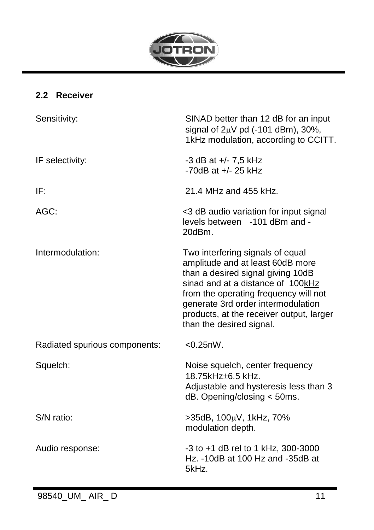

### <span id="page-10-0"></span>**2.2 Receiver**

| Sensitivity:                  | SINAD better than 12 dB for an input<br>signal of $2\mu V$ pd (-101 dBm), 30%,<br>1kHz modulation, according to CCITT.                                                                                                                                                                                |
|-------------------------------|-------------------------------------------------------------------------------------------------------------------------------------------------------------------------------------------------------------------------------------------------------------------------------------------------------|
| IF selectivity:               | -3 dB at +/- 7,5 kHz<br>$-70$ dB at $+/- 25$ kHz                                                                                                                                                                                                                                                      |
| IF:                           | 21.4 MHz and 455 kHz.                                                                                                                                                                                                                                                                                 |
| AGC:                          | <3 dB audio variation for input signal<br>levels between -101 dBm and -<br>20dBm.                                                                                                                                                                                                                     |
| Intermodulation:              | Two interfering signals of equal<br>amplitude and at least 60dB more<br>than a desired signal giving 10dB<br>sinad and at a distance of 100kHz<br>from the operating frequency will not<br>generate 3rd order intermodulation<br>products, at the receiver output, larger<br>than the desired signal. |
| Radiated spurious components: | $< 0.25$ nW.                                                                                                                                                                                                                                                                                          |
| Squelch:                      | Noise squelch, center frequency<br>18.75kHz+6.5 kHz.<br>Adjustable and hysteresis less than 3<br>$dB.$ Opening/closing $<$ 50ms.                                                                                                                                                                      |
| S/N ratio:                    | >35dB, 100μV, 1kHz, 70%<br>modulation depth.                                                                                                                                                                                                                                                          |
| Audio response:               | -3 to +1 dB rel to 1 kHz, 300-3000<br>Hz. -10dB at 100 Hz and -35dB at<br>5kHz.                                                                                                                                                                                                                       |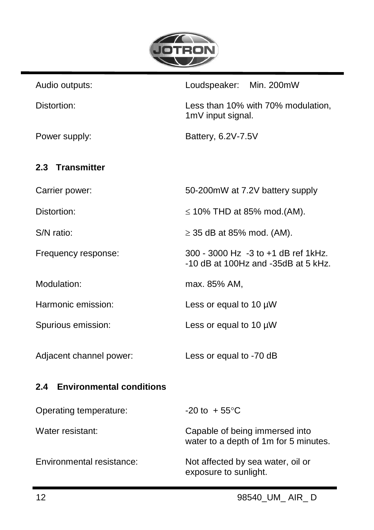

<span id="page-11-1"></span><span id="page-11-0"></span>

| Audio outputs:               | Loudspeaker: Min. 200mW                                                    |  |  |  |  |
|------------------------------|----------------------------------------------------------------------------|--|--|--|--|
| Distortion:                  | Less than 10% with 70% modulation,<br>1mV input signal.                    |  |  |  |  |
| Power supply:                | Battery, 6.2V-7.5V                                                         |  |  |  |  |
| 2.3 Transmitter              |                                                                            |  |  |  |  |
| Carrier power:               | 50-200mW at 7.2V battery supply                                            |  |  |  |  |
| Distortion:                  | $\leq$ 10% THD at 85% mod.(AM).                                            |  |  |  |  |
| S/N ratio:                   | $\geq$ 35 dB at 85% mod. (AM).                                             |  |  |  |  |
| Frequency response:          | 300 - 3000 Hz -3 to +1 dB ref 1kHz.<br>-10 dB at 100Hz and -35dB at 5 kHz. |  |  |  |  |
| Modulation:                  | max. 85% AM,                                                               |  |  |  |  |
| Harmonic emission:           | Less or equal to 10 $\mu$ W                                                |  |  |  |  |
| Spurious emission:           | Less or equal to 10 $\mu$ W                                                |  |  |  |  |
| Adjacent channel power:      | Less or equal to -70 dB                                                    |  |  |  |  |
| 2.4 Environmental conditions |                                                                            |  |  |  |  |
| Operating temperature:       | $-20$ to $+55^{\circ}$ C                                                   |  |  |  |  |
| Water resistant:             | Capable of being immersed into<br>water to a depth of 1m for 5 minutes.    |  |  |  |  |
| Environmental resistance:    | Not affected by sea water, oil or<br>exposure to sunlight.                 |  |  |  |  |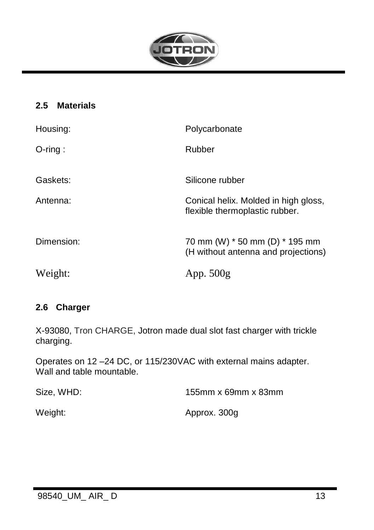

### <span id="page-12-0"></span>**2.5 Materials**

| Housing:   | Polycarbonate                                                          |
|------------|------------------------------------------------------------------------|
| $O$ -ring: | Rubber                                                                 |
| Gaskets:   | Silicone rubber                                                        |
| Antenna:   | Conical helix. Molded in high gloss,<br>flexible thermoplastic rubber. |
| Dimension: | 70 mm (W) * 50 mm (D) * 195 mm<br>(H without antenna and projections)  |
| Weight:    | App. $500g$                                                            |

#### <span id="page-12-1"></span>**2.6 Charger**

X-93080, Tron CHARGE, Jotron made dual slot fast charger with trickle charging.

Operates on 12 –24 DC, or 115/230VAC with external mains adapter. Wall and table mountable.

| Size, WHD: | 155mm x 69mm x 83mm |
|------------|---------------------|
| Weight:    | Approx. 300g        |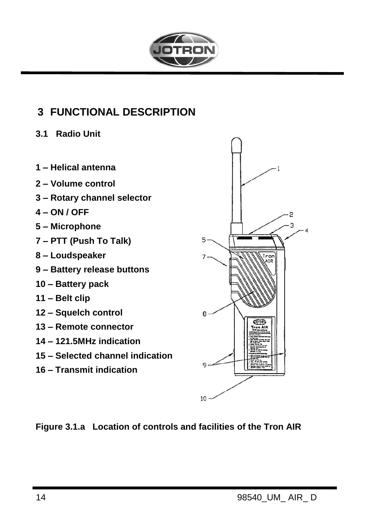

### <span id="page-13-2"></span><span id="page-13-0"></span>**3 FUNCTIONAL DESCRIPTION**

- <span id="page-13-1"></span>**3.1 Radio Unit**
- **1 – Helical antenna**
- **2 – Volume control**
- **3 – Rotary channel selector**
- **4 – ON / OFF**
- **5 – Microphone**
- **7 – PTT (Push To Talk)**
- **8 – Loudspeaker**
- **9 – Battery release buttons**
- **10 – Battery pack**
- **11 – Belt clip**
- **12 – Squelch control**
- **13 – Remote connector**
- **14 – 121.5MHz indication**
- **15 – Selected channel indication**
- **16 – Transmit indication**



**Figure [3.1.](#page-13-2)a Location of controls and facilities of the Tron AIR**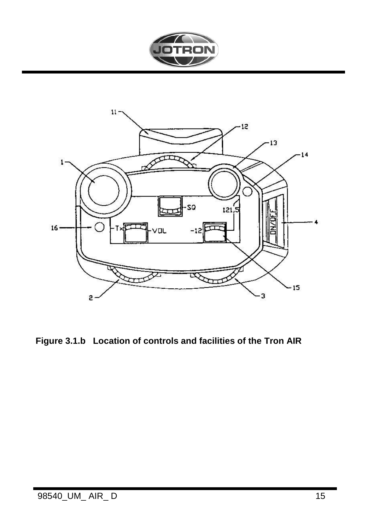



Figure 3.1.b Location of controls and facilities of the Tron AIR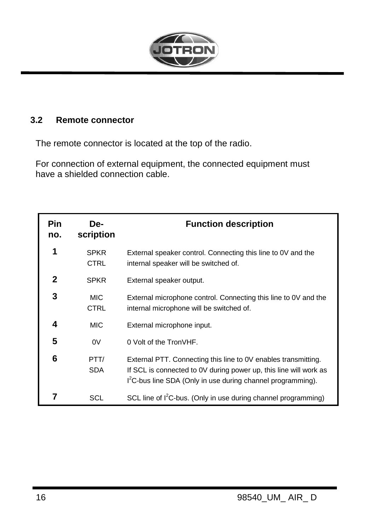

### <span id="page-15-0"></span>**3.2 Remote connector**

The remote connector is located at the top of the radio.

For connection of external equipment, the connected equipment must have a shielded connection cable.

| Pin<br>no. | De-<br>scription           | <b>Function description</b>                                                                                                                                                                                    |  |  |  |  |  |
|------------|----------------------------|----------------------------------------------------------------------------------------------------------------------------------------------------------------------------------------------------------------|--|--|--|--|--|
| 1          | <b>SPKR</b><br><b>CTRL</b> | External speaker control. Connecting this line to 0V and the<br>internal speaker will be switched of.                                                                                                          |  |  |  |  |  |
| 2          | <b>SPKR</b>                | External speaker output.                                                                                                                                                                                       |  |  |  |  |  |
| 3          | MIC.<br><b>CTRL</b>        | External microphone control. Connecting this line to 0V and the<br>internal microphone will be switched of.                                                                                                    |  |  |  |  |  |
| 4          | MIC.                       | External microphone input.                                                                                                                                                                                     |  |  |  |  |  |
| 5          | 0V                         | 0 Volt of the TronVHF.                                                                                                                                                                                         |  |  |  |  |  |
| 6          | PTT/<br><b>SDA</b>         | External PTT. Connecting this line to 0V enables transmitting.<br>If SCL is connected to 0V during power up, this line will work as<br>I <sup>2</sup> C-bus line SDA (Only in use during channel programming). |  |  |  |  |  |
|            | SCL                        | SCL line of I <sup>2</sup> C-bus. (Only in use during channel programming)                                                                                                                                     |  |  |  |  |  |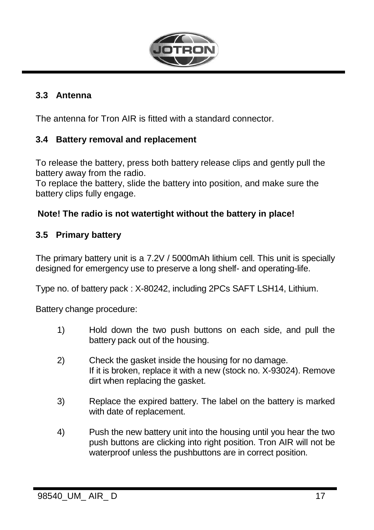

#### <span id="page-16-3"></span><span id="page-16-0"></span>**3.3 Antenna**

<span id="page-16-1"></span>The antenna for Tron AIR is fitted with a standard connector.

#### **3.4 Battery removal and replacement**

To release the battery, press both battery release clips and gently pull the battery away from the radio.

To replace the battery, slide the battery into position, and make sure the battery clips fully engage.

#### **Note! The radio is not watertight without the battery in place!**

#### <span id="page-16-2"></span>**3.5 Primary battery**

The primary battery unit is a 7.2V / 5000mAh lithium cell. This unit is specially designed for emergency use to preserve a long shelf- and operating-life.

Type no. of battery pack : X-80242, including 2PCs SAFT LSH14, Lithium.

Battery change procedure:

- 1) Hold down the two push buttons on each side, and pull the battery pack out of the housing.
- 2) Check the gasket inside the housing for no damage. If it is broken, replace it with a new (stock no. X-93024). Remove dirt when replacing the gasket.
- 3) Replace the expired battery. The label on the battery is marked with date of replacement.
- 4) Push the new battery unit into the housing until you hear the two push buttons are clicking into right position. Tron AIR will not be waterproof unless the pushbuttons are in correct position.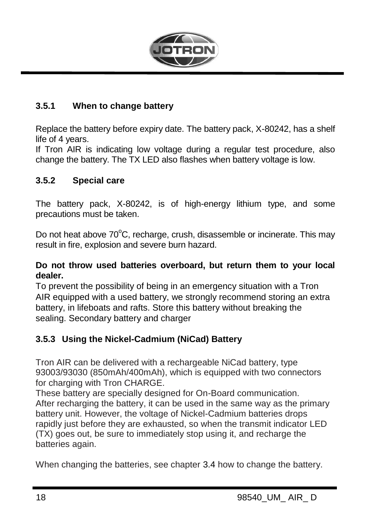

#### <span id="page-17-0"></span>**3.5.1 When to change battery**

Replace the battery before expiry date. The battery pack, X-80242, has a shelf life of 4 years.

If Tron AIR is indicating low voltage during a regular test procedure, also change the battery. The TX LED also flashes when battery voltage is low.

#### <span id="page-17-1"></span>**3.5.2 Special care**

The battery pack, X-80242, is of high-energy lithium type, and some precautions must be taken.

Do not heat above  $70^{\circ}$ C, recharge, crush, disassemble or incinerate. This may result in fire, explosion and severe burn hazard.

#### **Do not throw used batteries overboard, but return them to your local dealer.**

To prevent the possibility of being in an emergency situation with a Tron AIR equipped with a used battery, we strongly recommend storing an extra battery, in lifeboats and rafts. Store this battery without breaking the sealing. Secondary battery and charger

### <span id="page-17-2"></span>**3.5.3 Using the Nickel-Cadmium (NiCad) Battery**

Tron AIR can be delivered with a rechargeable NiCad battery, type 93003/93030 (850mAh/400mAh), which is equipped with two connectors for charging with Tron CHARGE.

These battery are specially designed for On-Board communication. After recharging the battery, it can be used in the same way as the primary battery unit. However, the voltage of Nickel-Cadmium batteries drops rapidly just before they are exhausted, so when the transmit indicator LED (TX) goes out, be sure to immediately stop using it, and recharge the batteries again.

When changing the batteries, see chapter [3.4](#page-16-3) how to change the battery.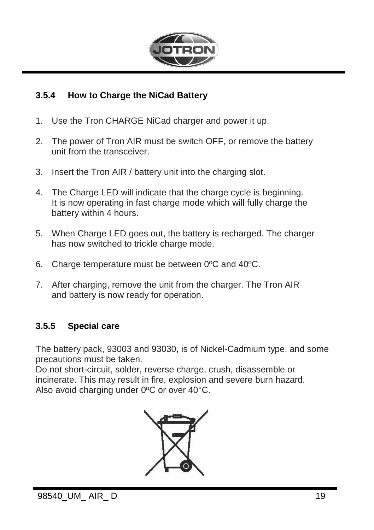

#### <span id="page-18-0"></span>**3.5.4 How to Charge the NiCad Battery**

- 1. Use the Tron CHARGE NiCad charger and power it up.
- 2. The power of Tron AIR must be switch OFF, or remove the battery unit from the transceiver.
- 3. Insert the Tron AIR / battery unit into the charging slot.
- 4. The Charge LED will indicate that the charge cycle is beginning. It is now operating in fast charge mode which will fully charge the battery within 4 hours.
- 5. When Charge LED goes out, the battery is recharged. The charger has now switched to trickle charge mode.
- 6. Charge temperature must be between 0ºC and 40ºC.
- 7. After charging, remove the unit from the charger. The Tron AIR and battery is now ready for operation.

#### <span id="page-18-1"></span>**3.5.5 Special care**

The battery pack, 93003 and 93030, is of Nickel-Cadmium type, and some precautions must be taken.

Do not short-circuit, solder, reverse charge, crush, disassemble or incinerate. This may result in fire, explosion and severe burn hazard. Also avoid charging under 0ºC or over 40°C.

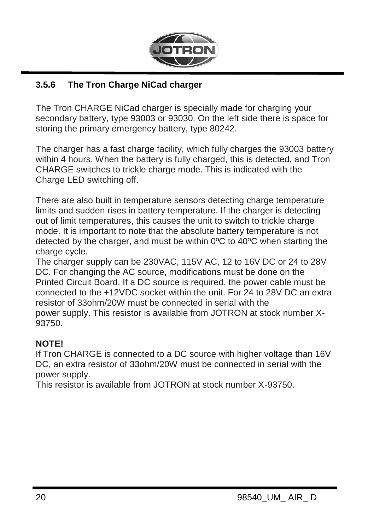

### <span id="page-19-0"></span>**3.5.6 The Tron Charge NiCad charger**

The Tron CHARGE NiCad charger is specially made for charging your secondary battery, type 93003 or 93030. On the left side there is space for storing the primary emergency battery, type 80242.

The charger has a fast charge facility, which fully charges the 93003 battery within 4 hours. When the battery is fully charged, this is detected, and Tron CHARGE switches to trickle charge mode. This is indicated with the Charge LED switching off.

There are also built in temperature sensors detecting charge temperature limits and sudden rises in battery temperature. If the charger is detecting out of limit temperatures, this causes the unit to switch to trickle charge mode. It is important to note that the absolute battery temperature is not detected by the charger, and must be within 0ºC to 40ºC when starting the charge cycle.

The charger supply can be 230VAC, 115V AC, 12 to 16V DC or 24 to 28V DC. For changing the AC source, modifications must be done on the Printed Circuit Board. If a DC source is required, the power cable must be connected to the +12VDC socket within the unit. For 24 to 28V DC an extra resistor of 33ohm/20W must be connected in serial with the power supply. This resistor is available from JOTRON at stock number X-93750.

#### **NOTE!**

If Tron CHARGE is connected to a DC source with higher voltage than 16V DC, an extra resistor of 33ohm/20W must be connected in serial with the power supply.

This resistor is available from JOTRON at stock number X-93750.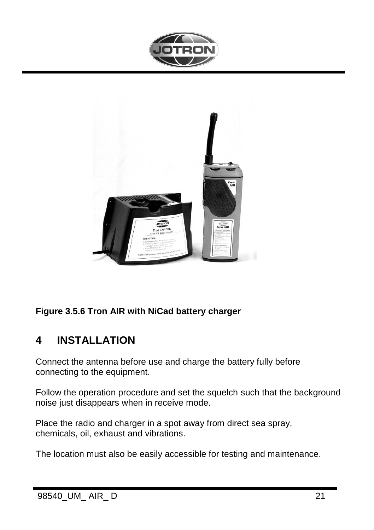



### **Figure [3.5.6](#page-19-0) Tron AIR with NiCad battery charger**

### <span id="page-20-0"></span>**4 INSTALLATION**

Connect the antenna before use and charge the battery fully before connecting to the equipment.

Follow the operation procedure and set the squelch such that the background noise just disappears when in receive mode.

Place the radio and charger in a spot away from direct sea spray, chemicals, oil, exhaust and vibrations.

The location must also be easily accessible for testing and maintenance.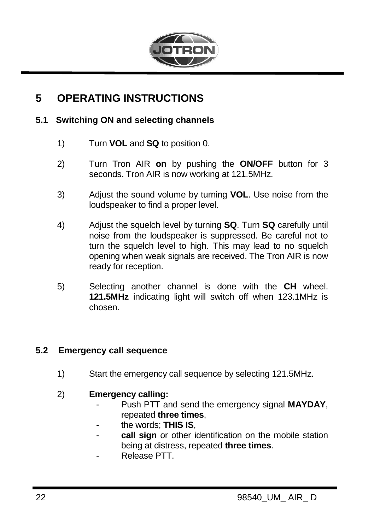

### <span id="page-21-0"></span>**5 OPERATING INSTRUCTIONS**

#### <span id="page-21-1"></span>**5.1 Switching ON and selecting channels**

- 1) Turn **VOL** and **SQ** to position 0.
- 2) Turn Tron AIR **on** by pushing the **ON/OFF** button for 3 seconds. Tron AIR is now working at 121.5MHz.
- 3) Adjust the sound volume by turning **VOL**. Use noise from the loudspeaker to find a proper level.
- 4) Adjust the squelch level by turning **SQ**. Turn **SQ** carefully until noise from the loudspeaker is suppressed. Be careful not to turn the squelch level to high. This may lead to no squelch opening when weak signals are received. The Tron AIR is now ready for reception.
- 5) Selecting another channel is done with the **CH** wheel. **121.5MHz** indicating light will switch off when 123.1MHz is chosen.

#### <span id="page-21-2"></span>**5.2 Emergency call sequence**

- 1) Start the emergency call sequence by selecting 121.5MHz.
- 2) **Emergency calling:**
	- Push PTT and send the emergency signal **MAYDAY**, repeated **three times**,
	- the words; **THIS IS**,
	- **call sign** or other identification on the mobile station being at distress, repeated **three times**.
	- Release PTT.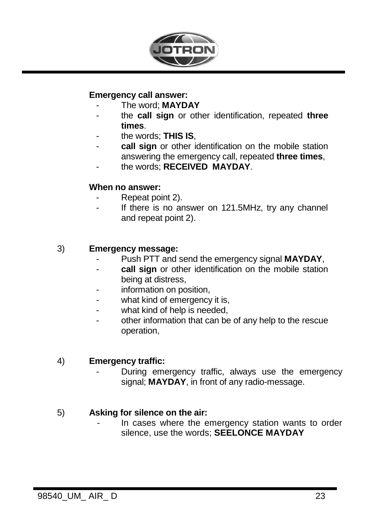

#### **Emergency call answer:**

- The word; **MAYDAY**
- the **call sign** or other identification, repeated **three times**.
- the words; **THIS IS**,
- **call sign** or other identification on the mobile station answering the emergency call, repeated **three times**,
- the words; **RECEIVED MAYDAY**.

#### **When no answer:**

- Repeat point 2).
- If there is no answer on 121.5MHz, try any channel and repeat point 2).

#### 3) **Emergency message:**

- Push PTT and send the emergency signal **MAYDAY**,
- **call sign** or other identification on the mobile station being at distress,
- information on position,
- what kind of emergency it is,
- what kind of help is needed.
- other information that can be of any help to the rescue operation,

#### 4) **Emergency traffic:**

During emergency traffic, always use the emergency signal; **MAYDAY**, in front of any radio-message.

#### 5) **Asking for silence on the air:**

In cases where the emergency station wants to order silence, use the words; **SEELONCE MAYDAY**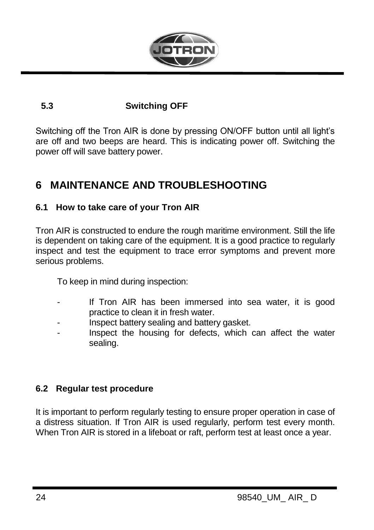

### <span id="page-23-0"></span>**5.3 Switching OFF**

Switching off the Tron AIR is done by pressing ON/OFF button until all light's are off and two beeps are heard. This is indicating power off. Switching the power off will save battery power.

### <span id="page-23-1"></span>**6 MAINTENANCE AND TROUBLESHOOTING**

#### <span id="page-23-2"></span>**6.1 How to take care of your Tron AIR**

Tron AIR is constructed to endure the rough maritime environment. Still the life is dependent on taking care of the equipment. It is a good practice to regularly inspect and test the equipment to trace error symptoms and prevent more serious problems.

To keep in mind during inspection:

- If Tron AIR has been immersed into sea water, it is good practice to clean it in fresh water.
- Inspect battery sealing and battery gasket.
- Inspect the housing for defects, which can affect the water sealing.

### <span id="page-23-3"></span>**6.2 Regular test procedure**

It is important to perform regularly testing to ensure proper operation in case of a distress situation. If Tron AIR is used regularly, perform test every month. When Tron AIR is stored in a lifeboat or raft, perform test at least once a year.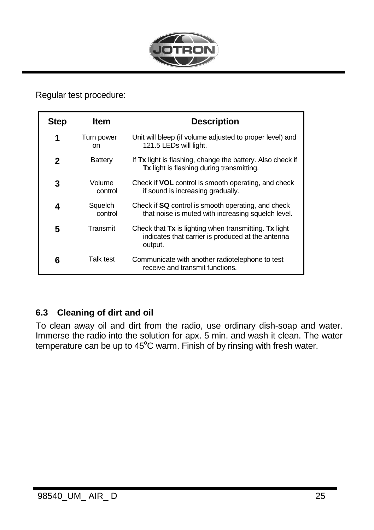

Regular test procedure:

| Step | ltem               | <b>Description</b>                                                                                                    |
|------|--------------------|-----------------------------------------------------------------------------------------------------------------------|
| 1    | Turn power<br>on   | Unit will bleep (if volume adjusted to proper level) and<br>121.5 LEDs will light.                                    |
| 2    | Battery            | If Tx light is flashing, change the battery. Also check if<br>Tx light is flashing during transmitting.               |
| 3    | Volume<br>control  | Check if <b>VOL</b> control is smooth operating, and check<br>if sound is increasing gradually.                       |
| 4    | Squelch<br>control | Check if SQ control is smooth operating, and check<br>that noise is muted with increasing squelch level.              |
| 5    | Transmit           | Check that Tx is lighting when transmitting. Tx light<br>indicates that carrier is produced at the antenna<br>output. |
| 6    | Talk test          | Communicate with another radiotelephone to test<br>receive and transmit functions.                                    |

### <span id="page-24-0"></span>**6.3 Cleaning of dirt and oil**

To clean away oil and dirt from the radio, use ordinary dish-soap and water. Immerse the radio into the solution for apx. 5 min. and wash it clean. The water temperature can be up to  $45^{\circ}$ C warm. Finish of by rinsing with fresh water.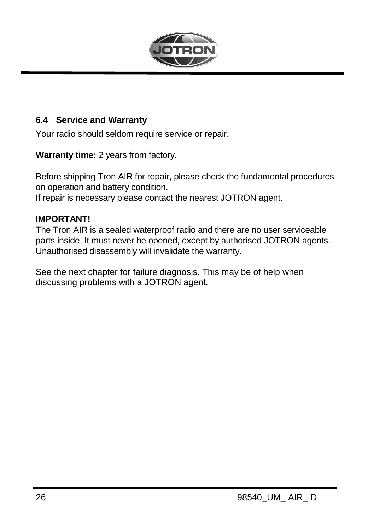

#### <span id="page-25-0"></span>**6.4 Service and Warranty**

Your radio should seldom require service or repair.

**Warranty time:** 2 years from factory.

Before shipping Tron AIR for repair, please check the fundamental procedures on operation and battery condition.

If repair is necessary please contact the nearest JOTRON agent.

#### **IMPORTANT!**

The Tron AIR is a sealed waterproof radio and there are no user serviceable parts inside. It must never be opened, except by authorised JOTRON agents. Unauthorised disassembly will invalidate the warranty.

See the next chapter for failure diagnosis. This may be of help when discussing problems with a JOTRON agent.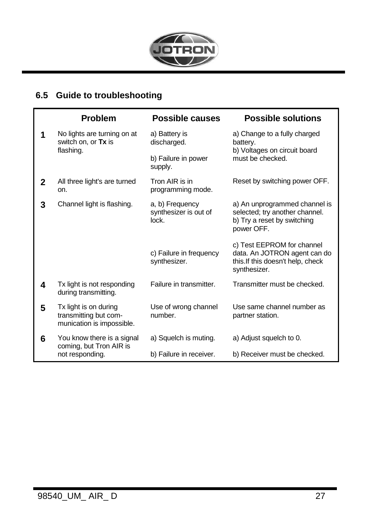

### <span id="page-26-0"></span>**6.5 Guide to troubleshooting**

|                                                            | <b>Problem</b>                                                              | Possible causes                                   | <b>Possible solutions</b>                                                                                       |  |  |
|------------------------------------------------------------|-----------------------------------------------------------------------------|---------------------------------------------------|-----------------------------------------------------------------------------------------------------------------|--|--|
| 1                                                          | No lights are turning on at<br>switch on, or Tx is<br>flashing.             | a) Battery is<br>discharged.                      | a) Change to a fully charged<br>battery.<br>b) Voltages on circuit board                                        |  |  |
|                                                            | b) Failure in power<br>supply.                                              |                                                   | must be checked.                                                                                                |  |  |
| $\mathbf{2}$                                               | All three light's are turned<br>on.                                         | Tron AIR is in<br>programming mode.               | Reset by switching power OFF.                                                                                   |  |  |
| 3                                                          | Channel light is flashing.                                                  | a, b) Frequency<br>synthesizer is out of<br>lock. | a) An unprogrammed channel is<br>selected; try another channel.<br>b) Try a reset by switching<br>power OFF.    |  |  |
|                                                            |                                                                             | c) Failure in frequency<br>synthesizer.           | c) Test EEPROM for channel<br>data. An JOTRON agent can do<br>this. If this doesn't help, check<br>synthesizer. |  |  |
| 4                                                          | Tx light is not responding<br>during transmitting.                          | Failure in transmitter.                           | Transmitter must be checked.                                                                                    |  |  |
| 5                                                          | Tx light is on during<br>transmitting but com-<br>munication is impossible. | Use of wrong channel<br>number.                   | Use same channel number as<br>partner station.                                                                  |  |  |
| You know there is a signal<br>6<br>coming, but Tron AIR is |                                                                             | a) Squelch is muting.                             | a) Adjust squelch to 0.                                                                                         |  |  |
|                                                            | not responding.                                                             | b) Failure in receiver.                           | b) Receiver must be checked.                                                                                    |  |  |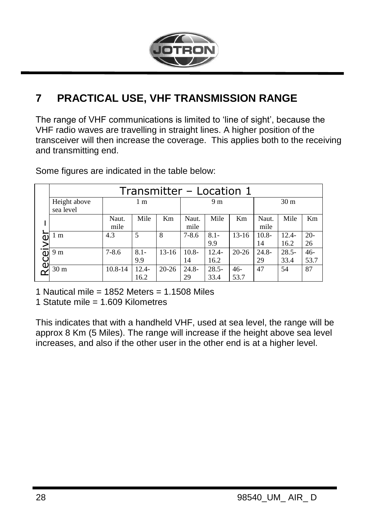

# <span id="page-27-0"></span>**7 PRACTICAL USE, VHF TRANSMISSION RANGE**

The range of VHF communications is limited to 'line of sight', because the VHF radio waves are travelling in straight lines. A higher position of the transceiver will then increase the coverage. This applies both to the receiving and transmitting end.

|        | Transmitter - Location 1                                                                                                                                                                                                                 |               |                  |           |                |                  |               |                |                  |               |
|--------|------------------------------------------------------------------------------------------------------------------------------------------------------------------------------------------------------------------------------------------|---------------|------------------|-----------|----------------|------------------|---------------|----------------|------------------|---------------|
|        | Height above<br>sea level                                                                                                                                                                                                                |               | 1 <sub>m</sub>   |           |                | 9 m              |               |                | 30 <sub>m</sub>  |               |
|        |                                                                                                                                                                                                                                          | Naut.<br>mile | Mile             | Km        | Naut.<br>mile  | Mile             | Km            | Naut.<br>mile  | Mile             | Km            |
|        | 1 m                                                                                                                                                                                                                                      | 4.3           | 5                | 8         | $7 - 8.6$      | $8.1 -$<br>9.9   | $13-16$       | $10.8 -$<br>14 | $12.4-$<br>16.2  | $20-$<br>26   |
| eceive | 9 m                                                                                                                                                                                                                                      | $7 - 8.6$     | $8.1 -$<br>9.9   | $13-16$   | $10.8 -$<br>14 | $12.4 -$<br>16.2 | $20 - 26$     | $24.8 -$<br>29 | $28.5 -$<br>33.4 | $46-$<br>53.7 |
|        | 30 <sub>m</sub>                                                                                                                                                                                                                          | 10.8-14       | $12.4 -$<br>16.2 | $20 - 26$ | $24.8 -$<br>29 | $28.5 -$<br>33.4 | $46-$<br>53.7 | 47             | 54               | 87            |
|        | 1 Nautical mile = $1852$ Meters = $1.1508$ Miles<br>1 Statute mile = 1.609 Kilometres                                                                                                                                                    |               |                  |           |                |                  |               |                |                  |               |
|        | This indicates that with a handheld VHF, used at sea level, the range will<br>approx 8 Km (5 Miles). The range will increase if the height above sea let<br>increases, and also if the other user in the other end is at a higher level. |               |                  |           |                |                  |               |                |                  |               |

Some figures are indicated in the table below:

This indicates that with a handheld VHF, used at sea level, the range will be approx 8 Km (5 Miles). The range will increase if the height above sea level<br>increases, and also if the other user in the other end is at a higher level.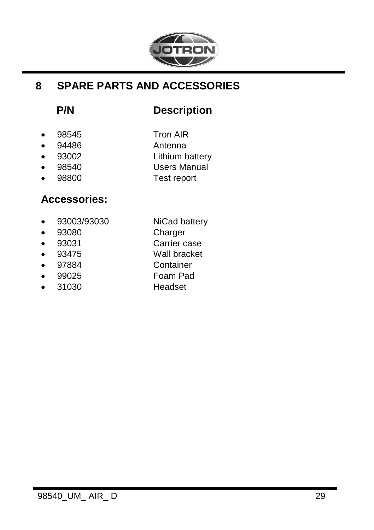

### <span id="page-28-0"></span>**8 SPARE PARTS AND ACCESSORIES**

# **P/N Description**

- 
- $\bullet$  98545 Tron AIR
- 94486 Antenna
- 93002 Lithium battery
- 
- 98540 Users Manual
- 98800 Test report

# **Accessories:**

- 93003/93030 NiCad battery
- 93080 Charger
- 93031 Carrier case
- 93475 Wall bracket
- 97884 Container
	- 99025 Foam Pad
- 
- 
- 31030 Headset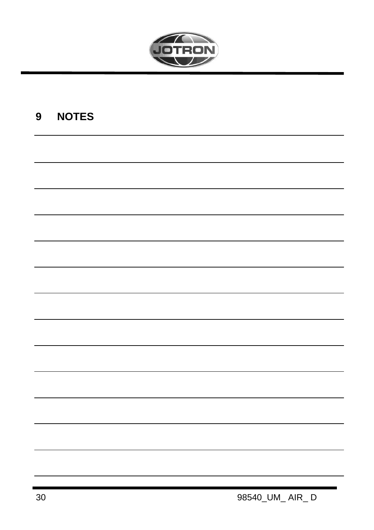

# <span id="page-29-0"></span>9 NOTES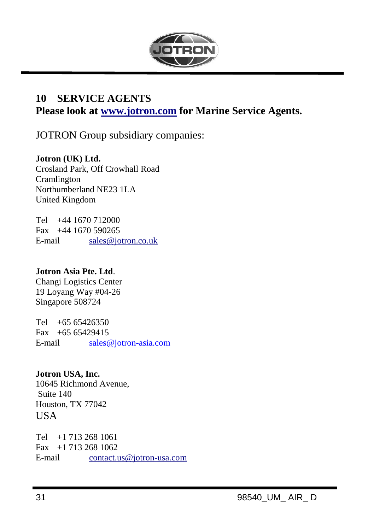

### <span id="page-30-0"></span>**10 SERVICE AGENTS**

**Please look at www.jotron.com for Marine Service Agents.**

JOTRON Group subsidiary companies:

#### **Jotron (UK) Ltd.**

Crosland Park, Off Crowhall Road Cramlington Northumberland NE23 1LA United Kingdom

Tel +44 1670 712000 Fax +44 1670 590265 E-mail sales@jotron.co.uk

#### **Jotron Asia Pte. Ltd**.

Changi Logistics Center 19 Loyang Way #04-26 Singapore 508724

Tel +65 65426350 Fax  $+6565429415$ E-mail [sales@jotron-asia.com](mailto:sales@jotron-asia.com)

### **Jotron USA, Inc.**

10645 Richmond Avenue, Suite 140 Houston, TX 77042 **USA** 

Tel +1 713 268 1061 Fax +1 713 268 1062 E-mail [contact.us@jotron-usa.com](mailto:contact.us@jotron-usa.com)